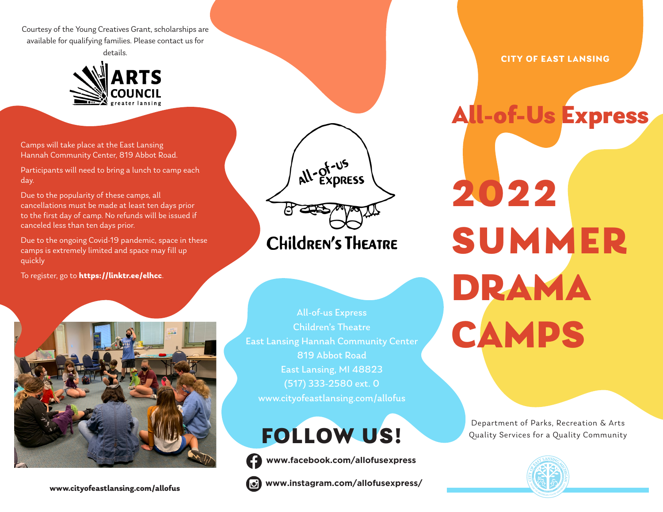Courtesy of the Young Creatives Grant, scholarships are available for qualifying families. Please contact us for details.



Camps will take place at the East Lansing Hannah Community Center, 819 Abbot Road.

Participants will need to bring a lunch to camp each day.

Due to the popularity of these camps, all cancellations must be made at least ten days prior to the first day of camp. No refunds will be issued if canceled less than ten days prior.

Due to the ongoing Covid-19 pandemic, space in these camps is extremely limited and space may fill up quickly

To register, go to **https://linktr.ee/elhcc**.



All-of-us Express Children's Theatre East Lansing Hannah Community Center 819 Abbot Road East Lansing, MI 48823 (517) 333-2580 ext. 0 www.cityofeastlansing.com/allofus

all-of-us

**CHILDREN'S THEATRE** 

FOLLOW US!

**www.facebook.com/allofusexpress**



**CITY OF EAST LANSING**

All-of-Us Express

2022 SUMMER DRAMA CAMPS

> Department of Parks, Recreation & Arts Quality Services for a Quality Community